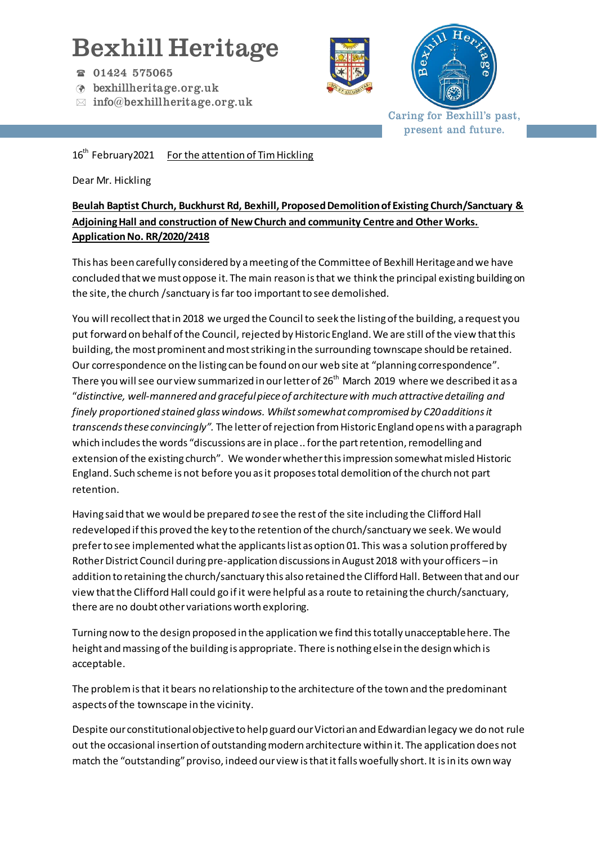## Bexhill Heritage

- 01424 575065
- bexhillheritage.org.uk
- $\boxtimes$  info@bexhillheritage.org.uk





Caring for Bexhill's past, present and future.

16<sup>th</sup> February2021 For the attention of Tim Hickling

Dear Mr. Hickling

## **Beulah Baptist Church, Buckhurst Rd, Bexhill, Proposed Demolition of Existing Church/Sanctuary & Adjoining Hall and construction of New Church and community Centre and Other Works. Application No. RR/2020/2418**

This has been carefully considered by a meeting of the Committee of Bexhill Heritage and we have concluded that we must oppose it. The main reason is that we think the principal existing building on the site, the church /sanctuary is far too important to see demolished.

You will recollect that in 2018 we urged the Council to seek the listing of the building, a request you put forward on behalf of the Council, rejected by Historic England. We are still of the view that this building, the most prominent and most striking in the surrounding townscape should be retained. Our correspondence on the listing can be found on our web site at "planning correspondence". There you will see our view summarized in our letter of  $26<sup>th</sup>$  March 2019 where we described it as a "*distinctive, well-mannered and graceful piece of architecture with much attractive detailing and finely proportioned stained glass windows. Whilst somewhat compromised by C20additions it transcends these convincingly".* The letter of rejection from Historic England opens with aparagraph which includes the words "discussions are in place .. for the part retention, remodelling and extension of the existing church". We wonder whether this impression somewhat misled Historic England. Such scheme is not before you as it proposes total demolition of the church not part retention.

Having said that we would be prepared *to* see the rest of the site including the Clifford Hall redeveloped if this proved the key to the retention of the church/sanctuary we seek. We would prefer to see implemented what the applicants list as option 01. This was a solution proffered by Rother District Council during pre-application discussions in August 2018 with your officers –in addition to retaining the church/sanctuary this also retained the Clifford Hall. Between that and our view that the Clifford Hall could go if it were helpful as a route to retaining the church/sanctuary, there are no doubt other variations worth exploring.

Turning now to the design proposed in the application we find this totally unacceptable here. The height and massing of the building is appropriate. There is nothing else in the design which is acceptable.

The problem isthat it bears no relationship to the architecture of the town and the predominant aspects of the townscape in the vicinity.

Despite our constitutional objective to help guard our Victorian and Edwardian legacy we do not rule out the occasional insertion of outstanding modern architecture within it. The application does not match the "outstanding" proviso, indeed our view is that it falls woefully short. It is in its own way